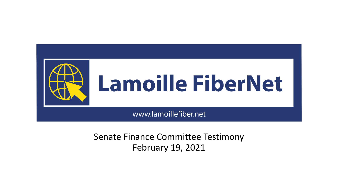

# Lamoille FiberNet

www.lamoillefiber.net

Senate Finance Committee Testimony February 19, 2021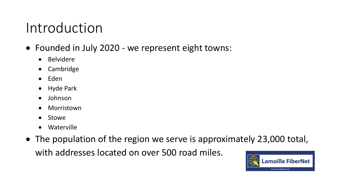## Introduction

- Founded in July 2020 we represent eight towns:
	- Belvidere
	- Cambridge
	- Eden
	- Hyde Park
	- Johnson
	- Morristown
	- Stowe
	- Waterville
- The population of the region we serve is approximately 23,000 total, with addresses located on over 500 road miles.

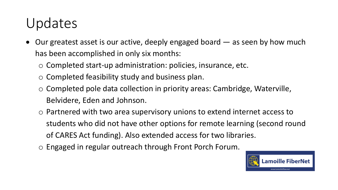# Updates

- Our greatest asset is our active, deeply engaged board as seen by how much has been accomplished in only six months:
	- o Completed start-up administration: policies, insurance, etc.
	- o Completed feasibility study and business plan.
	- o Completed pole data collection in priority areas: Cambridge, Waterville, Belvidere, Eden and Johnson.
	- o Partnered with two area supervisory unions to extend internet access to students who did not have other options for remote learning (second round of CARES Act funding). Also extended access for two libraries.
	- o Engaged in regular outreach through Front Porch Forum.

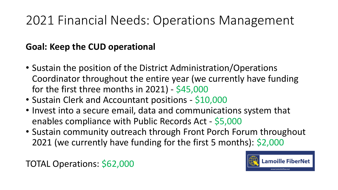## 2021 Financial Needs: Operations Management

#### **Goal: Keep the CUD operational**

- Sustain the position of the District Administration/Operations Coordinator throughout the entire year (we currently have funding for the first three months in 2021) - \$45,000
- Sustain Clerk and Accountant positions \$10,000
- Invest into a secure email, data and communications system that enables compliance with Public Records Act - \$5,000
- Sustain community outreach through Front Porch Forum throughout 2021 (we currently have funding for the first 5 months): \$2,000

TOTAL Operations: \$62,000